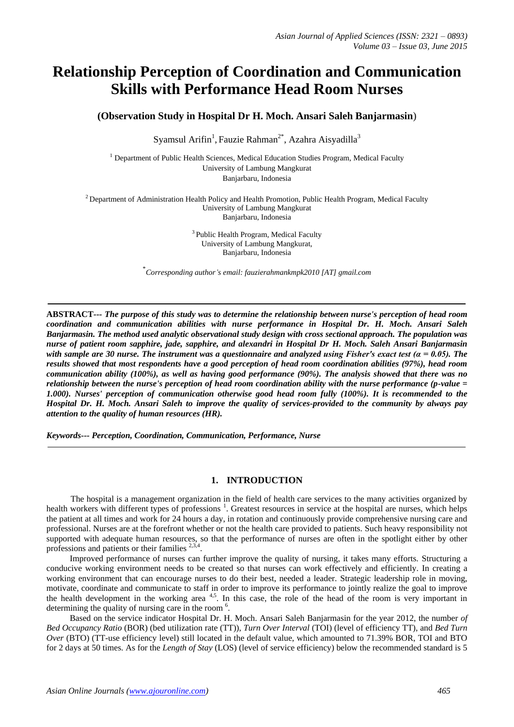# **Relationship Perception of Coordination and Communication Skills with Performance Head Room Nurses**

**(Observation Study in Hospital Dr H. Moch. Ansari Saleh Banjarmasin**)

Syamsul Arifin<sup>1</sup>, Fauzie Rahman<sup>2\*</sup>, Azahra Aisyadilla<sup>3</sup>

<sup>1</sup> Department of Public Health Sciences, Medical Education Studies Program, Medical Faculty University of Lambung Mangkurat Banjarbaru, Indonesia

 $2$  Department of Administration Health Policy and Health Promotion, Public Health Program, Medical Faculty University of Lambung Mangkurat Banjarbaru, Indonesia

> <sup>3</sup> Public Health Program, Medical Faculty University of Lambung Mangkurat, Banjarbaru, Indonesia

\* *Corresponding author's email: fauzierahmankmpk2010 [AT] gmail.com*

**ABSTRACT***--- The purpose of this study was to determine the relationship between nurse's perception of head room coordination and communication abilities with nurse performance in Hospital Dr. H. Moch. Ansari Saleh Banjarmasin. The method used analytic observational study design with cross sectional approach. The population was nurse of patient room sapphire, jade, sapphire, and alexandri in Hospital Dr H. Moch. Saleh Ansari Banjarmasin with sample are 30 nurse. The instrument was a questionnaire and analyzed using Fisher's exact test (α = 0.05). The results showed that most respondents have a good perception of head room coordination abilities (97%), head room communication ability (100%), as well as having good performance (90%). The analysis showed that there was no relationship between the nurse's perception of head room coordination ability with the nurse performance (p-value = 1.000). Nurses' perception of communication otherwise good head room fully (100%). It is recommended to the Hospital Dr. H. Moch. Ansari Saleh to improve the quality of services-provided to the community by always pay attention to the quality of human resources (HR).*

*Keywords--- Perception, Coordination, Communication, Performance, Nurse*

#### **1. INTRODUCTION**

The hospital is a management organization in the field of health care services to the many activities organized by health workers with different types of professions<sup>1</sup>. Greatest resources in service at the hospital are nurses, which helps the patient at all times and work for 24 hours a day, in rotation and continuously provide comprehensive nursing care and professional. Nurses are at the forefront whether or not the health care provided to patients. Such heavy responsibility not supported with adequate human resources, so that the performance of nurses are often in the spotlight either by other professions and patients or their families <sup>2,3,4</sup>.

Improved performance of nurses can further improve the quality of nursing, it takes many efforts. Structuring a conducive working environment needs to be created so that nurses can work effectively and efficiently. In creating a working environment that can encourage nurses to do their best, needed a leader. Strategic leadership role in moving, motivate, coordinate and communicate to staff in order to improve its performance to jointly realize the goal to improve the health development in the working area <sup>4,5</sup>. In this case, the role of the head of the room is very important in determining the quality of nursing care in the room<sup>6</sup>.

Based on the service indicator Hospital Dr. H. Moch. Ansari Saleh Banjarmasin for the year 2012, the number *of Bed Occupancy Ratio* (BOR) (bed utilization rate (TT)), *Turn Over Interval* (TOI) (level of efficiency TT), and *Bed Turn Over* (BTO) (TT-use efficiency level) still located in the default value, which amounted to 71.39% BOR, TOI and BTO for 2 days at 50 times. As for the *Length of Stay* (LOS) (level of service efficiency) below the recommended standard is 5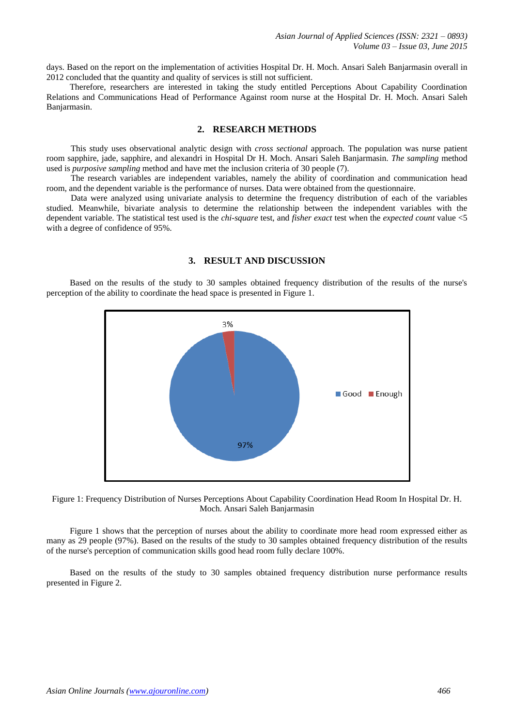days. Based on the report on the implementation of activities Hospital Dr. H. Moch. Ansari Saleh Banjarmasin overall in 2012 concluded that the quantity and quality of services is still not sufficient.

Therefore, researchers are interested in taking the study entitled Perceptions About Capability Coordination Relations and Communications Head of Performance Against room nurse at the Hospital Dr. H. Moch. Ansari Saleh Banjarmasin.

## **2. RESEARCH METHODS**

This study uses observational analytic design with *cross sectional* approach. The population was nurse patient room sapphire, jade, sapphire, and alexandri in Hospital Dr H. Moch. Ansari Saleh Banjarmasin. *The sampling* method used is *purposive sampling* method and have met the inclusion criteria of 30 people (7).

The research variables are independent variables, namely the ability of coordination and communication head room, and the dependent variable is the performance of nurses. Data were obtained from the questionnaire.

Data were analyzed using univariate analysis to determine the frequency distribution of each of the variables studied. Meanwhile, bivariate analysis to determine the relationship between the independent variables with the dependent variable. The statistical test used is the *chi-square* test, and *fisher exact* test when the *expected count* value <5 with a degree of confidence of 95%.

#### **3. RESULT AND DISCUSSION**

Based on the results of the study to 30 samples obtained frequency distribution of the results of the nurse's perception of the ability to coordinate the head space is presented in Figure 1.





Figure 1 shows that the perception of nurses about the ability to coordinate more head room expressed either as many as 29 people (97%). Based on the results of the study to 30 samples obtained frequency distribution of the results of the nurse's perception of communication skills good head room fully declare 100%.

Based on the results of the study to 30 samples obtained frequency distribution nurse performance results presented in Figure 2.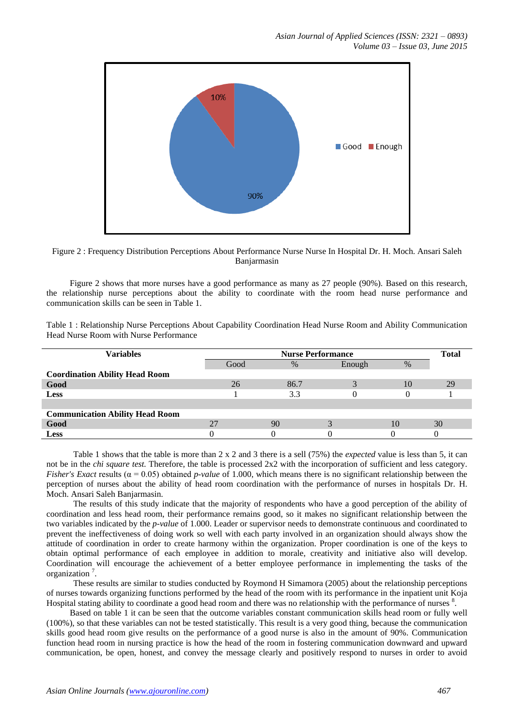

Figure 2 : Frequency Distribution Perceptions About Performance Nurse Nurse In Hospital Dr. H. Moch. Ansari Saleh Banjarmasin

Figure 2 shows that more nurses have a good performance as many as 27 people (90%). Based on this research, the relationship nurse perceptions about the ability to coordinate with the room head nurse performance and communication skills can be seen in Table 1.

Table 1 : Relationship Nurse Perceptions About Capability Coordination Head Nurse Room and Ability Communication Head Nurse Room with Nurse Performance

| <b>Variables</b>                       | <b>Nurse Performance</b> |      |        |      | <b>Total</b> |
|----------------------------------------|--------------------------|------|--------|------|--------------|
|                                        | Good                     | $\%$ | Enough | $\%$ |              |
| <b>Coordination Ability Head Room</b>  |                          |      |        |      |              |
| Good                                   | 26                       | 86.7 |        | 10   | 29           |
| <b>Less</b>                            |                          | 3.3  |        |      |              |
|                                        |                          |      |        |      |              |
| <b>Communication Ability Head Room</b> |                          |      |        |      |              |
| Good                                   |                          | 90   |        | 10   | 30           |
| <b>Less</b>                            |                          |      |        |      |              |

Table 1 shows that the table is more than 2 x 2 and 3 there is a sell (75%) the *expected* value is less than 5, it can not be in the *chi square test.* Therefore, the table is processed 2x2 with the incorporation of sufficient and less category. *Fisher's Exact* results ( $\alpha = 0.05$ ) obtained *p-value* of 1.000, which means there is no significant relationship between the perception of nurses about the ability of head room coordination with the performance of nurses in hospitals Dr. H. Moch. Ansari Saleh Banjarmasin.

The results of this study indicate that the majority of respondents who have a good perception of the ability of coordination and less head room, their performance remains good, so it makes no significant relationship between the two variables indicated by the *p-value* of 1.000. Leader or supervisor needs to demonstrate continuous and coordinated to prevent the ineffectiveness of doing work so well with each party involved in an organization should always show the attitude of coordination in order to create harmony within the organization. Proper coordination is one of the keys to obtain optimal performance of each employee in addition to morale, creativity and initiative also will develop. Coordination will encourage the achievement of a better employee performance in implementing the tasks of the organization<sup>7</sup>.

These results are similar to studies conducted by Roymond H Simamora (2005) about the relationship perceptions of nurses towards organizing functions performed by the head of the room with its performance in the inpatient unit Koja Hospital stating ability to coordinate a good head room and there was no relationship with the performance of nurses  $8$ .

Based on table 1 it can be seen that the outcome variables constant communication skills head room or fully well (100%), so that these variables can not be tested statistically. This result is a very good thing, because the communication skills good head room give results on the performance of a good nurse is also in the amount of 90%. Communication function head room in nursing practice is how the head of the room in fostering communication downward and upward communication, be open, honest, and convey the message clearly and positively respond to nurses in order to avoid